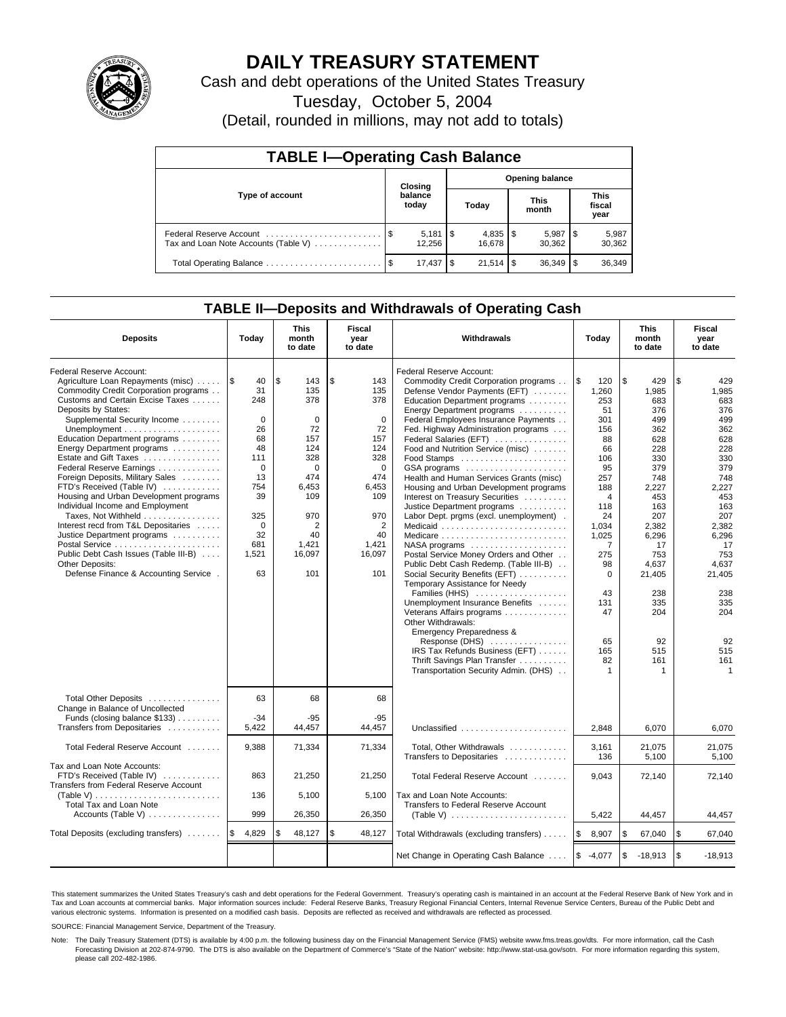

# **DAILY TREASURY STATEMENT**

Cash and debt operations of the United States Treasury

Tuesday, October 5, 2004

(Detail, rounded in millions, may not add to totals)

| <b>TABLE I-Operating Cash Balance</b> |         |                              |       |                        |                      |                 |                               |                 |  |  |  |
|---------------------------------------|---------|------------------------------|-------|------------------------|----------------------|-----------------|-------------------------------|-----------------|--|--|--|
|                                       | Closing |                              |       | <b>Opening balance</b> |                      |                 |                               |                 |  |  |  |
| Type of account                       |         | balance<br>today             | Today |                        | <b>This</b><br>month |                 | <b>This</b><br>fiscal<br>year |                 |  |  |  |
| Tax and Loan Note Accounts (Table V)  |         | $5,181$ $\sqrt{5}$<br>12.256 |       | 16.678                 |                      | 5,987<br>30.362 | 1\$                           | 5,987<br>30,362 |  |  |  |
| Total Operating Balance               |         | 17,437                       | - \$  |                        |                      | 36,349          |                               | 36,349          |  |  |  |

## **TABLE II—Deposits and Withdrawals of Operating Cash**

| <b>Deposits</b>                                                                                                                                                                                                                                                                                                                                                                                                                                                                                                                                                                                                                                                                                                                      | Today                                                                                                                                           | <b>This</b><br>month<br>to date                                                                                                                  | <b>Fiscal</b><br>year<br>to date                                                                                                                              | <b>Withdrawals</b>                                                                                                                                                                                                                                                                                                                                                                                                                                                                                                                                                                                                                                                                                                                                                                                                                                                                                                                                                                                                            | Today                                                                                                                                                                                                          | <b>This</b><br>month<br>to date                                                                                                                                                                                 | Fiscal<br>year<br>to date                                                                                                                                                                                                  |
|--------------------------------------------------------------------------------------------------------------------------------------------------------------------------------------------------------------------------------------------------------------------------------------------------------------------------------------------------------------------------------------------------------------------------------------------------------------------------------------------------------------------------------------------------------------------------------------------------------------------------------------------------------------------------------------------------------------------------------------|-------------------------------------------------------------------------------------------------------------------------------------------------|--------------------------------------------------------------------------------------------------------------------------------------------------|---------------------------------------------------------------------------------------------------------------------------------------------------------------|-------------------------------------------------------------------------------------------------------------------------------------------------------------------------------------------------------------------------------------------------------------------------------------------------------------------------------------------------------------------------------------------------------------------------------------------------------------------------------------------------------------------------------------------------------------------------------------------------------------------------------------------------------------------------------------------------------------------------------------------------------------------------------------------------------------------------------------------------------------------------------------------------------------------------------------------------------------------------------------------------------------------------------|----------------------------------------------------------------------------------------------------------------------------------------------------------------------------------------------------------------|-----------------------------------------------------------------------------------------------------------------------------------------------------------------------------------------------------------------|----------------------------------------------------------------------------------------------------------------------------------------------------------------------------------------------------------------------------|
| Federal Reserve Account:<br>Agriculture Loan Repayments (misc)<br>Commodity Credit Corporation programs<br>Customs and Certain Excise Taxes<br>Deposits by States:<br>Supplemental Security Income<br>Unemployment $\dots\dots\dots\dots\dots\dots\dots$<br>Education Department programs<br>Energy Department programs<br>Estate and Gift Taxes<br>Federal Reserve Earnings<br>Foreign Deposits, Military Sales<br>FTD's Received (Table IV)<br>Housing and Urban Development programs<br>Individual Income and Employment<br>Taxes, Not Withheld<br>Interest recd from T&L Depositaries<br>Justice Department programs<br>Public Debt Cash Issues (Table III-B)<br><b>Other Deposits:</b><br>Defense Finance & Accounting Service. | 1\$<br>40<br>31<br>248<br>$\mathbf 0$<br>26<br>68<br>48<br>111<br>$\Omega$<br>13<br>754<br>39<br>325<br>$\mathbf 0$<br>32<br>681<br>1,521<br>63 | \$<br>143<br>135<br>378<br>$\mathbf 0$<br>72<br>157<br>124<br>328<br>$\Omega$<br>474<br>6,453<br>109<br>970<br>2<br>40<br>1,421<br>16,097<br>101 | \$<br>143<br>135<br>378<br>$\mathbf 0$<br>72<br>157<br>124<br>328<br>$\Omega$<br>474<br>6,453<br>109<br>970<br>$\overline{2}$<br>40<br>1,421<br>16,097<br>101 | Federal Reserve Account:<br>Commodity Credit Corporation programs<br>Defense Vendor Payments (EFT)<br>Education Department programs<br>Energy Department programs<br>Federal Employees Insurance Payments<br>Fed. Highway Administration programs<br>Federal Salaries (EFT)<br>Food and Nutrition Service (misc)<br>GSA programs<br>Health and Human Services Grants (misc)<br>Housing and Urban Development programs<br>Interest on Treasury Securities<br>Justice Department programs<br>Labor Dept. prgms (excl. unemployment).<br>Medicare<br>$NASA$ programs $\ldots \ldots \ldots \ldots \ldots$<br>Postal Service Money Orders and Other<br>Public Debt Cash Redemp. (Table III-B)<br>Social Security Benefits (EFT)<br>Temporary Assistance for Needy<br>Families (HHS)<br>Unemployment Insurance Benefits<br>Veterans Affairs programs<br>Other Withdrawals:<br>Emergency Preparedness &<br>Response (DHS)<br>IRS Tax Refunds Business (EFT)<br>Thrift Savings Plan Transfer<br>Transportation Security Admin. (DHS) | l \$<br>120<br>1,260<br>253<br>51<br>301<br>156<br>88<br>66<br>106<br>95<br>257<br>188<br>4<br>118<br>24<br>1,034<br>1,025<br>7<br>275<br>98<br>$\Omega$<br>43<br>131<br>47<br>65<br>165<br>82<br>$\mathbf{1}$ | \$<br>429<br>1.985<br>683<br>376<br>499<br>362<br>628<br>228<br>330<br>379<br>748<br>2,227<br>453<br>163<br>207<br>2.382<br>6,296<br>17<br>753<br>4,637<br>21,405<br>238<br>335<br>204<br>92<br>515<br>161<br>1 | \$<br>429<br>1,985<br>683<br>376<br>499<br>362<br>628<br>228<br>330<br>379<br>748<br>2,227<br>453<br>163<br>207<br>2.382<br>6,296<br>17<br>753<br>4,637<br>21,405<br>238<br>335<br>204<br>92<br>515<br>161<br>$\mathbf{1}$ |
| Total Other Deposits<br>Change in Balance of Uncollected<br>Funds (closing balance \$133)<br>Transfers from Depositaries                                                                                                                                                                                                                                                                                                                                                                                                                                                                                                                                                                                                             | 63<br>$-34$<br>5.422                                                                                                                            | 68<br>$-95$<br>44.457                                                                                                                            | 68<br>$-95$<br>44.457                                                                                                                                         | Unclassified                                                                                                                                                                                                                                                                                                                                                                                                                                                                                                                                                                                                                                                                                                                                                                                                                                                                                                                                                                                                                  | 2.848                                                                                                                                                                                                          | 6.070                                                                                                                                                                                                           | 6.070                                                                                                                                                                                                                      |
| Total Federal Reserve Account                                                                                                                                                                                                                                                                                                                                                                                                                                                                                                                                                                                                                                                                                                        | 9,388                                                                                                                                           | 71,334                                                                                                                                           | 71,334                                                                                                                                                        | Total, Other Withdrawals<br>Transfers to Depositaries                                                                                                                                                                                                                                                                                                                                                                                                                                                                                                                                                                                                                                                                                                                                                                                                                                                                                                                                                                         | 3,161<br>136                                                                                                                                                                                                   | 21,075<br>5,100                                                                                                                                                                                                 | 21,075                                                                                                                                                                                                                     |
| Tax and Loan Note Accounts:<br>FTD's Received (Table IV)<br>Transfers from Federal Reserve Account<br>(Table V)<br>Total Tax and Loan Note                                                                                                                                                                                                                                                                                                                                                                                                                                                                                                                                                                                           | 863<br>136                                                                                                                                      | 21,250<br>5,100                                                                                                                                  | 21,250<br>5.100                                                                                                                                               | Total Federal Reserve Account<br>Tax and Loan Note Accounts:<br>Transfers to Federal Reserve Account                                                                                                                                                                                                                                                                                                                                                                                                                                                                                                                                                                                                                                                                                                                                                                                                                                                                                                                          | 9,043                                                                                                                                                                                                          | 72,140                                                                                                                                                                                                          | 5,100<br>72,140                                                                                                                                                                                                            |
| Accounts (Table V)                                                                                                                                                                                                                                                                                                                                                                                                                                                                                                                                                                                                                                                                                                                   | 999                                                                                                                                             | 26,350                                                                                                                                           | 26,350                                                                                                                                                        | (Table V) $\ldots \ldots \ldots \ldots \ldots \ldots \ldots$                                                                                                                                                                                                                                                                                                                                                                                                                                                                                                                                                                                                                                                                                                                                                                                                                                                                                                                                                                  | 5,422                                                                                                                                                                                                          | 44,457                                                                                                                                                                                                          | 44,457                                                                                                                                                                                                                     |
| Total Deposits (excluding transfers)                                                                                                                                                                                                                                                                                                                                                                                                                                                                                                                                                                                                                                                                                                 | 4,829<br>I\$                                                                                                                                    | \$<br>48,127                                                                                                                                     | \$<br>48,127                                                                                                                                                  | Total Withdrawals (excluding transfers)                                                                                                                                                                                                                                                                                                                                                                                                                                                                                                                                                                                                                                                                                                                                                                                                                                                                                                                                                                                       | <b>S</b><br>8,907                                                                                                                                                                                              | \$<br>67,040                                                                                                                                                                                                    | <b>S</b><br>67,040                                                                                                                                                                                                         |
|                                                                                                                                                                                                                                                                                                                                                                                                                                                                                                                                                                                                                                                                                                                                      |                                                                                                                                                 |                                                                                                                                                  |                                                                                                                                                               | Net Change in Operating Cash Balance                                                                                                                                                                                                                                                                                                                                                                                                                                                                                                                                                                                                                                                                                                                                                                                                                                                                                                                                                                                          | $$ -4,077$                                                                                                                                                                                                     | \$<br>$-18,913$                                                                                                                                                                                                 | l \$<br>$-18,913$                                                                                                                                                                                                          |

This statement summarizes the United States Treasury's cash and debt operations for the Federal Government. Treasury's operating cash is maintained in an account at the Federal Reserve Bank of New York and in Tax and Loan accounts at commercial banks. Major information sources include: Federal Reserve Banks, Treasury Regional Financial Centers, Internal Revenue Service Centers, Bureau of the Public Debt and<br>various electronic s

SOURCE: Financial Management Service, Department of the Treasury.

Note: The Daily Treasury Statement (DTS) is available by 4:00 p.m. the following business day on the Financial Management Service (FMS) website www.fms.treas.gov/dts. For more information, call the Cash Forecasting Division at 202-874-9790. The DTS is also available on the Department of Commerce's "State of the Nation" website: http://www.stat-usa.gov/sotn. For more information regarding this system, please call 202-482-1986.